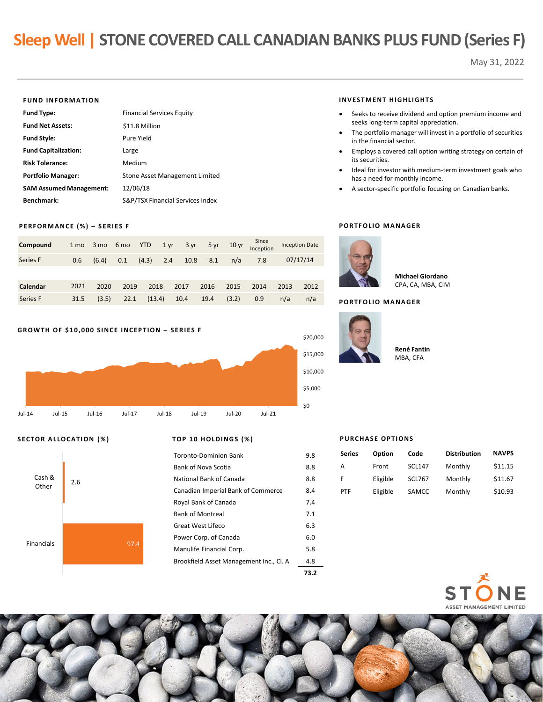# **Sleep Well | STONE COVERED CALL CANADIAN BANKS PLUS FUND (Series F)**

May 31, 2022

#### **FUND INFORMATION**

| <b>Fund Type:</b>              | <b>Financial Services Equity</b> |
|--------------------------------|----------------------------------|
| <b>Fund Net Assets:</b>        | \$11.8 Million                   |
| <b>Fund Style:</b>             | Pure Yield                       |
| <b>Fund Capitalization:</b>    | Large                            |
| <b>Risk Tolerance:</b>         | Medium                           |
| <b>Portfolio Manager:</b>      | Stone Asset Management Limited   |
| <b>SAM Assumed Management:</b> | 12/06/18                         |
| Benchmark:                     | S&P/TSX Financial Services Index |

#### **PERFORMANCE (%) – SERIES F**

| Compound | 1 <sub>mo</sub> |       | 3 mo 6 mo YTD |        | 1 yr | 3 yr |      | 5 yr 10 yr | Since<br>Inception |      | <b>Inception Date</b> |
|----------|-----------------|-------|---------------|--------|------|------|------|------------|--------------------|------|-----------------------|
| Series F | 0.6             | (6.4) | 0.1           | (4.3)  | 2.4  | 10.8 | 8.1  | n/a        | 7.8                |      | 07/17/14              |
|          |                 |       |               |        |      |      |      |            |                    |      |                       |
| Calendar | 2021            | 2020  | 2019          | 2018   |      | 2017 | 2016 | 2015       | 2014               | 2013 | 2012                  |
| Series F | 31.5            | (3.5) | 22.1          | (13.4) |      | 10.4 | 19.4 | (3.2)      | 0.9                | n/a  | n/a                   |



# **SECTOR ALLOCATION (%) TOP 10 HOLDINGS (%)**



|                                         | 73.2 |
|-----------------------------------------|------|
| Brookfield Asset Management Inc., Cl. A | 4.8  |
| Manulife Financial Corp.                | 5.8  |
| Power Corp. of Canada                   | 6.0  |
| Great West Lifeco                       | 6.3  |
| <b>Bank of Montreal</b>                 | 7.1  |
| Royal Bank of Canada                    | 7.4  |
| Canadian Imperial Bank of Commerce      | 8.4  |
| National Bank of Canada                 | 8.8  |
| Bank of Nova Scotia                     | 8.8  |
| Toronto-Dominion Bank                   | 9.8  |
|                                         |      |

#### **INVESTMENT HIGHLIGHTS**

- Seeks to receive dividend and option premium income and seeks long-term capital appreciation.
- The portfolio manager will invest in a portfolio of securities in the financial sector.
- Employs a covered call option writing strategy on certain of its securities.
- Ideal for investor with medium-term investment goals who has a need for monthly income.
- A sector-specific portfolio focusing on Canadian banks.

## **PORTFOLIO MANAGER**



**Michael Giordano** CPA, CA, MBA, CIM

#### **PORTFOLIO MANAGER**



**René Fantin**

MBA, CFA

### **PURCHASE OPTIONS**

| Series | Option   | Code          | <b>Distribution</b> | <b>NAVPS</b> |
|--------|----------|---------------|---------------------|--------------|
| А      | Front    | <b>SCL147</b> | Monthly             | \$11.15      |
| F      | Eligible | <b>SCL767</b> | Monthly             | \$11.67      |
| PTF    | Eligible | SAMCC         | Monthly             | \$10.93      |